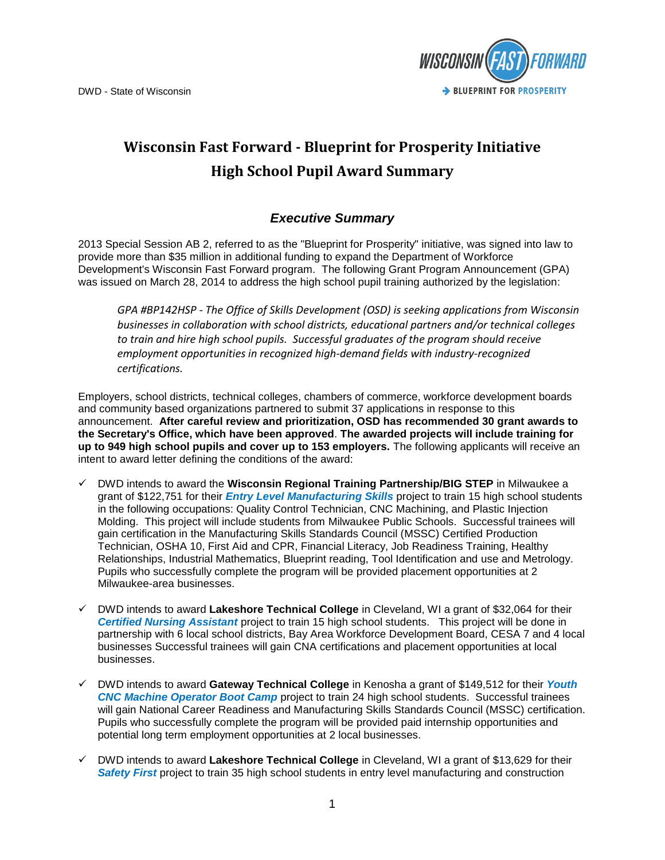

## **Wisconsin Fast Forward - Blueprint for Prosperity Initiative High School Pupil Award Summary**

## *Executive Summary*

2013 Special Session AB 2, referred to as the "Blueprint for Prosperity" initiative, was signed into law to provide more than \$35 million in additional funding to expand the Department of Workforce Development's Wisconsin Fast Forward program. The following Grant Program Announcement (GPA) was issued on March 28, 2014 to address the high school pupil training authorized by the legislation:

*GPA #BP142HSP - The Office of Skills Development (OSD) is seeking applications from Wisconsin businesses in collaboration with school districts, educational partners and/or technical colleges to train and hire high school pupils. Successful graduates of the program should receive employment opportunities in recognized high-demand fields with industry-recognized certifications.*

Employers, school districts, technical colleges, chambers of commerce, workforce development boards and community based organizations partnered to submit 37 applications in response to this announcement. **After careful review and prioritization, OSD has recommended 30 grant awards to the Secretary's Office, which have been approved**. **The awarded projects will include training for up to 949 high school pupils and cover up to 153 employers.** The following applicants will receive an intent to award letter defining the conditions of the award:

- DWD intends to award the **Wisconsin Regional Training Partnership/BIG STEP** in Milwaukee a grant of \$122,751 for their *Entry Level Manufacturing Skills* project to train 15 high school students in the following occupations: Quality Control Technician, CNC Machining, and Plastic Injection Molding. This project will include students from Milwaukee Public Schools. Successful trainees will gain certification in the Manufacturing Skills Standards Council (MSSC) Certified Production Technician, OSHA 10, First Aid and CPR, Financial Literacy, Job Readiness Training, Healthy Relationships, Industrial Mathematics, Blueprint reading, Tool Identification and use and Metrology. Pupils who successfully complete the program will be provided placement opportunities at 2 Milwaukee-area businesses.
- DWD intends to award **Lakeshore Technical College** in Cleveland, WI a grant of \$32,064 for their *Certified Nursing Assistant* project to train 15 high school students. This project will be done in partnership with 6 local school districts, Bay Area Workforce Development Board, CESA 7 and 4 local businesses Successful trainees will gain CNA certifications and placement opportunities at local businesses.
- DWD intends to award **Gateway Technical College** in Kenosha a grant of \$149,512 for their *Youth CNC Machine Operator Boot Camp* project to train 24 high school students. Successful trainees will gain National Career Readiness and Manufacturing Skills Standards Council (MSSC) certification. Pupils who successfully complete the program will be provided paid internship opportunities and potential long term employment opportunities at 2 local businesses.
- DWD intends to award **Lakeshore Technical College** in Cleveland, WI a grant of \$13,629 for their *Safety First* project to train 35 high school students in entry level manufacturing and construction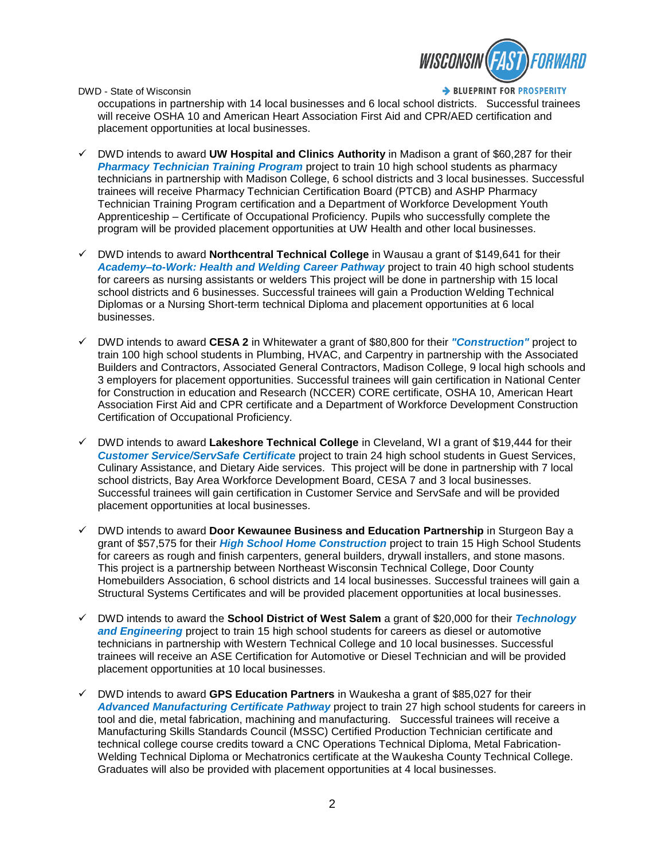

> BLUEPRINT FOR PROSPERITY

occupations in partnership with 14 local businesses and 6 local school districts. Successful trainees will receive OSHA 10 and American Heart Association First Aid and CPR/AED certification and placement opportunities at local businesses.

- DWD intends to award **UW Hospital and Clinics Authority** in Madison a grant of \$60,287 for their *Pharmacy Technician Training Program* project to train 10 high school students as pharmacy technicians in partnership with Madison College, 6 school districts and 3 local businesses. Successful trainees will receive Pharmacy Technician Certification Board (PTCB) and ASHP Pharmacy Technician Training Program certification and a Department of Workforce Development Youth Apprenticeship – Certificate of Occupational Proficiency. Pupils who successfully complete the program will be provided placement opportunities at UW Health and other local businesses.
- DWD intends to award **Northcentral Technical College** in Wausau a grant of \$149,641 for their *Academy–to-Work: Health and Welding Career Pathway* project to train 40 high school students for careers as nursing assistants or welders This project will be done in partnership with 15 local school districts and 6 businesses. Successful trainees will gain a Production Welding Technical Diplomas or a Nursing Short-term technical Diploma and placement opportunities at 6 local businesses.
- DWD intends to award **CESA 2** in Whitewater a grant of \$80,800 for their *"Construction"* project to train 100 high school students in Plumbing, HVAC, and Carpentry in partnership with the Associated Builders and Contractors, Associated General Contractors, Madison College, 9 local high schools and 3 employers for placement opportunities. Successful trainees will gain certification in National Center for Construction in education and Research (NCCER) CORE certificate, OSHA 10, American Heart Association First Aid and CPR certificate and a Department of Workforce Development Construction Certification of Occupational Proficiency.
- DWD intends to award **Lakeshore Technical College** in Cleveland, WI a grant of \$19,444 for their *Customer Service/ServSafe Certificate* project to train 24 high school students in Guest Services, Culinary Assistance, and Dietary Aide services. This project will be done in partnership with 7 local school districts, Bay Area Workforce Development Board, CESA 7 and 3 local businesses. Successful trainees will gain certification in Customer Service and ServSafe and will be provided placement opportunities at local businesses.
- DWD intends to award **Door Kewaunee Business and Education Partnership** in Sturgeon Bay a grant of \$57,575 for their *High School Home Construction* project to train 15 High School Students for careers as rough and finish carpenters, general builders, drywall installers, and stone masons. This project is a partnership between Northeast Wisconsin Technical College, Door County Homebuilders Association, 6 school districts and 14 local businesses. Successful trainees will gain a Structural Systems Certificates and will be provided placement opportunities at local businesses.
- DWD intends to award the **School District of West Salem** a grant of \$20,000 for their *Technology and Engineering* project to train 15 high school students for careers as diesel or automotive technicians in partnership with Western Technical College and 10 local businesses. Successful trainees will receive an ASE Certification for Automotive or Diesel Technician and will be provided placement opportunities at 10 local businesses.
- DWD intends to award **GPS Education Partners** in Waukesha a grant of \$85,027 for their *Advanced Manufacturing Certificate Pathway* project to train 27 high school students for careers in tool and die, metal fabrication, machining and manufacturing. Successful trainees will receive a Manufacturing Skills Standards Council (MSSC) Certified Production Technician certificate and technical college course credits toward a CNC Operations Technical Diploma, Metal Fabrication-Welding Technical Diploma or Mechatronics certificate at the Waukesha County Technical College. Graduates will also be provided with placement opportunities at 4 local businesses.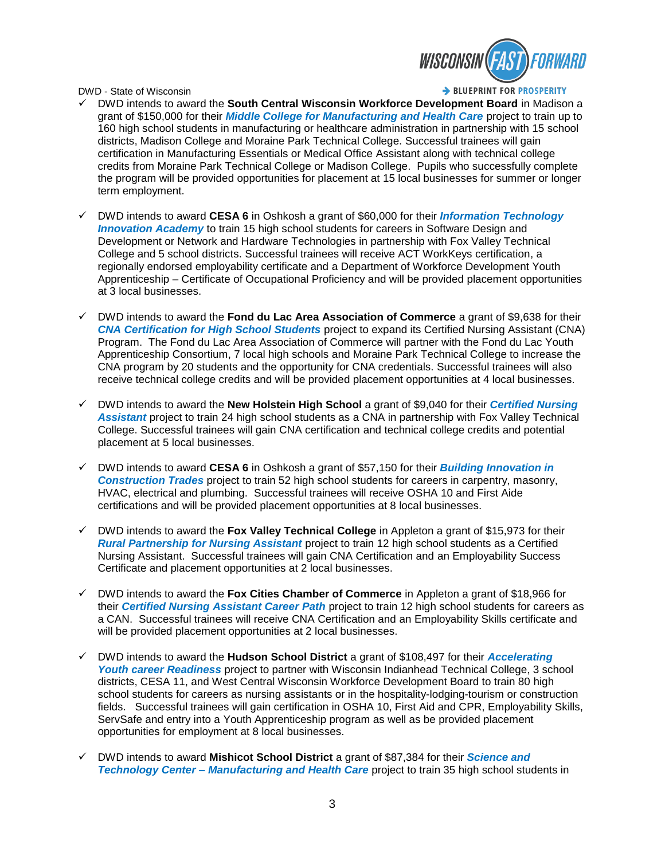

> BLUEPRINT FOR PROSPERITY

- DWD intends to award the **South Central Wisconsin Workforce Development Board** in Madison a grant of \$150,000 for their *Middle College for Manufacturing and Health Care* project to train up to 160 high school students in manufacturing or healthcare administration in partnership with 15 school districts, Madison College and Moraine Park Technical College. Successful trainees will gain certification in Manufacturing Essentials or Medical Office Assistant along with technical college credits from Moraine Park Technical College or Madison College. Pupils who successfully complete the program will be provided opportunities for placement at 15 local businesses for summer or longer term employment.
- DWD intends to award **CESA 6** in Oshkosh a grant of \$60,000 for their *Information Technology Innovation Academy* to train 15 high school students for careers in Software Design and Development or Network and Hardware Technologies in partnership with Fox Valley Technical College and 5 school districts. Successful trainees will receive ACT WorkKeys certification, a regionally endorsed employability certificate and a Department of Workforce Development Youth Apprenticeship – Certificate of Occupational Proficiency and will be provided placement opportunities at 3 local businesses.
- DWD intends to award the **Fond du Lac Area Association of Commerce** a grant of \$9,638 for their *CNA Certification for High School Students* project to expand its Certified Nursing Assistant (CNA) Program. The Fond du Lac Area Association of Commerce will partner with the Fond du Lac Youth Apprenticeship Consortium, 7 local high schools and Moraine Park Technical College to increase the CNA program by 20 students and the opportunity for CNA credentials. Successful trainees will also receive technical college credits and will be provided placement opportunities at 4 local businesses.
- DWD intends to award the **New Holstein High School** a grant of \$9,040 for their *Certified Nursing Assistant* project to train 24 high school students as a CNA in partnership with Fox Valley Technical College. Successful trainees will gain CNA certification and technical college credits and potential placement at 5 local businesses.
- DWD intends to award **CESA 6** in Oshkosh a grant of \$57,150 for their *Building Innovation in Construction Trades* project to train 52 high school students for careers in carpentry, masonry, HVAC, electrical and plumbing. Successful trainees will receive OSHA 10 and First Aide certifications and will be provided placement opportunities at 8 local businesses.
- DWD intends to award the **Fox Valley Technical College** in Appleton a grant of \$15,973 for their *Rural Partnership for Nursing Assistant* project to train 12 high school students as a Certified Nursing Assistant. Successful trainees will gain CNA Certification and an Employability Success Certificate and placement opportunities at 2 local businesses.
- DWD intends to award the **Fox Cities Chamber of Commerce** in Appleton a grant of \$18,966 for their *Certified Nursing Assistant Career Path* project to train 12 high school students for careers as a CAN. Successful trainees will receive CNA Certification and an Employability Skills certificate and will be provided placement opportunities at 2 local businesses.
- DWD intends to award the **Hudson School District** a grant of \$108,497 for their *Accelerating Youth career Readiness* project to partner with Wisconsin Indianhead Technical College, 3 school districts, CESA 11, and West Central Wisconsin Workforce Development Board to train 80 high school students for careers as nursing assistants or in the hospitality-lodging-tourism or construction fields. Successful trainees will gain certification in OSHA 10, First Aid and CPR, Employability Skills, ServSafe and entry into a Youth Apprenticeship program as well as be provided placement opportunities for employment at 8 local businesses.
- DWD intends to award **Mishicot School District** a grant of \$87,384 for their *Science and Technology Center – Manufacturing and Health Care* project to train 35 high school students in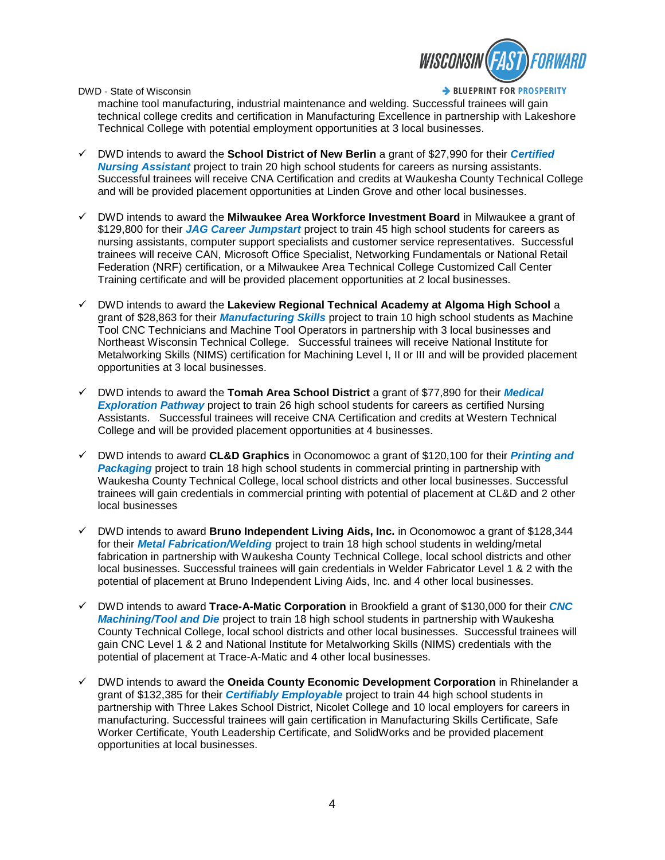

> BLUEPRINT FOR PROSPERITY

machine tool manufacturing, industrial maintenance and welding. Successful trainees will gain technical college credits and certification in Manufacturing Excellence in partnership with Lakeshore Technical College with potential employment opportunities at 3 local businesses.

- DWD intends to award the **School District of New Berlin** a grant of \$27,990 for their *Certified Nursing Assistant* project to train 20 high school students for careers as nursing assistants. Successful trainees will receive CNA Certification and credits at Waukesha County Technical College and will be provided placement opportunities at Linden Grove and other local businesses.
- DWD intends to award the **Milwaukee Area Workforce Investment Board** in Milwaukee a grant of \$129,800 for their *JAG Career Jumpstart* project to train 45 high school students for careers as nursing assistants, computer support specialists and customer service representatives. Successful trainees will receive CAN, Microsoft Office Specialist, Networking Fundamentals or National Retail Federation (NRF) certification, or a Milwaukee Area Technical College Customized Call Center Training certificate and will be provided placement opportunities at 2 local businesses.
- DWD intends to award the **Lakeview Regional Technical Academy at Algoma High School** a grant of \$28,863 for their *Manufacturing Skills* project to train 10 high school students as Machine Tool CNC Technicians and Machine Tool Operators in partnership with 3 local businesses and Northeast Wisconsin Technical College. Successful trainees will receive National Institute for Metalworking Skills (NIMS) certification for Machining Level I, II or III and will be provided placement opportunities at 3 local businesses.
- DWD intends to award the **Tomah Area School District** a grant of \$77,890 for their *Medical Exploration Pathway* project to train 26 high school students for careers as certified Nursing Assistants. Successful trainees will receive CNA Certification and credits at Western Technical College and will be provided placement opportunities at 4 businesses.
- DWD intends to award **CL&D Graphics** in Oconomowoc a grant of \$120,100 for their *Printing and Packaging* project to train 18 high school students in commercial printing in partnership with Waukesha County Technical College, local school districts and other local businesses. Successful trainees will gain credentials in commercial printing with potential of placement at CL&D and 2 other local businesses
- DWD intends to award **Bruno Independent Living Aids, Inc.** in Oconomowoc a grant of \$128,344 for their *Metal Fabrication/Welding* project to train 18 high school students in welding/metal fabrication in partnership with Waukesha County Technical College, local school districts and other local businesses. Successful trainees will gain credentials in Welder Fabricator Level 1 & 2 with the potential of placement at Bruno Independent Living Aids, Inc. and 4 other local businesses.
- DWD intends to award **Trace-A-Matic Corporation** in Brookfield a grant of \$130,000 for their *CNC Machining/Tool and Die* project to train 18 high school students in partnership with Waukesha County Technical College, local school districts and other local businesses. Successful trainees will gain CNC Level 1 & 2 and National Institute for Metalworking Skills (NIMS) credentials with the potential of placement at Trace-A-Matic and 4 other local businesses.
- DWD intends to award the **Oneida County Economic Development Corporation** in Rhinelander a grant of \$132,385 for their *Certifiably Employable* project to train 44 high school students in partnership with Three Lakes School District, Nicolet College and 10 local employers for careers in manufacturing. Successful trainees will gain certification in Manufacturing Skills Certificate, Safe Worker Certificate, Youth Leadership Certificate, and SolidWorks and be provided placement opportunities at local businesses.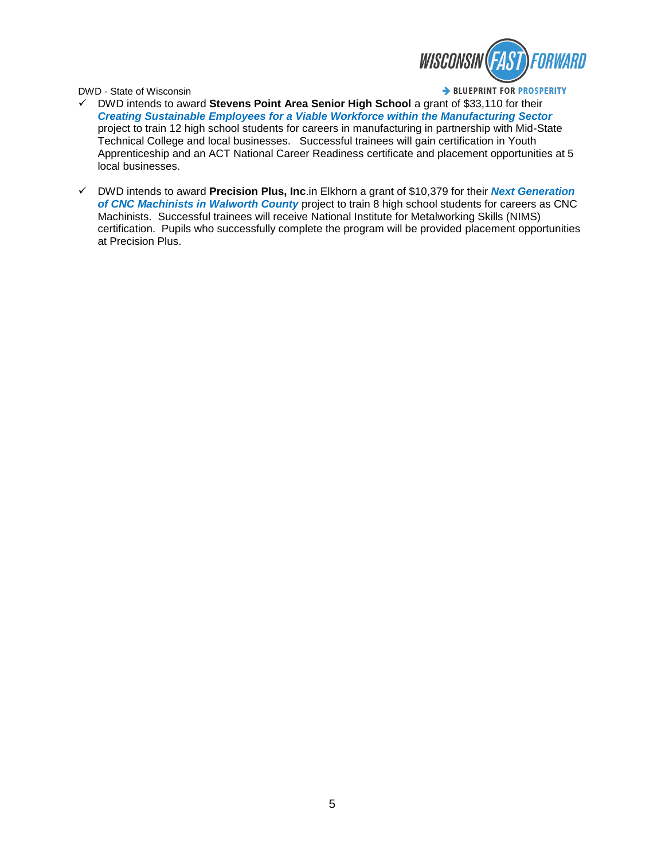

> BLUEPRINT FOR PROSPERITY

- DWD intends to award **Stevens Point Area Senior High School** a grant of \$33,110 for their *Creating Sustainable Employees for a Viable Workforce within the Manufacturing Sector* project to train 12 high school students for careers in manufacturing in partnership with Mid-State Technical College and local businesses. Successful trainees will gain certification in Youth Apprenticeship and an ACT National Career Readiness certificate and placement opportunities at 5 local businesses.
- DWD intends to award **Precision Plus, Inc**.in Elkhorn a grant of \$10,379 for their *Next Generation of CNC Machinists in Walworth County* project to train 8 high school students for careers as CNC Machinists. Successful trainees will receive National Institute for Metalworking Skills (NIMS) certification. Pupils who successfully complete the program will be provided placement opportunities at Precision Plus.